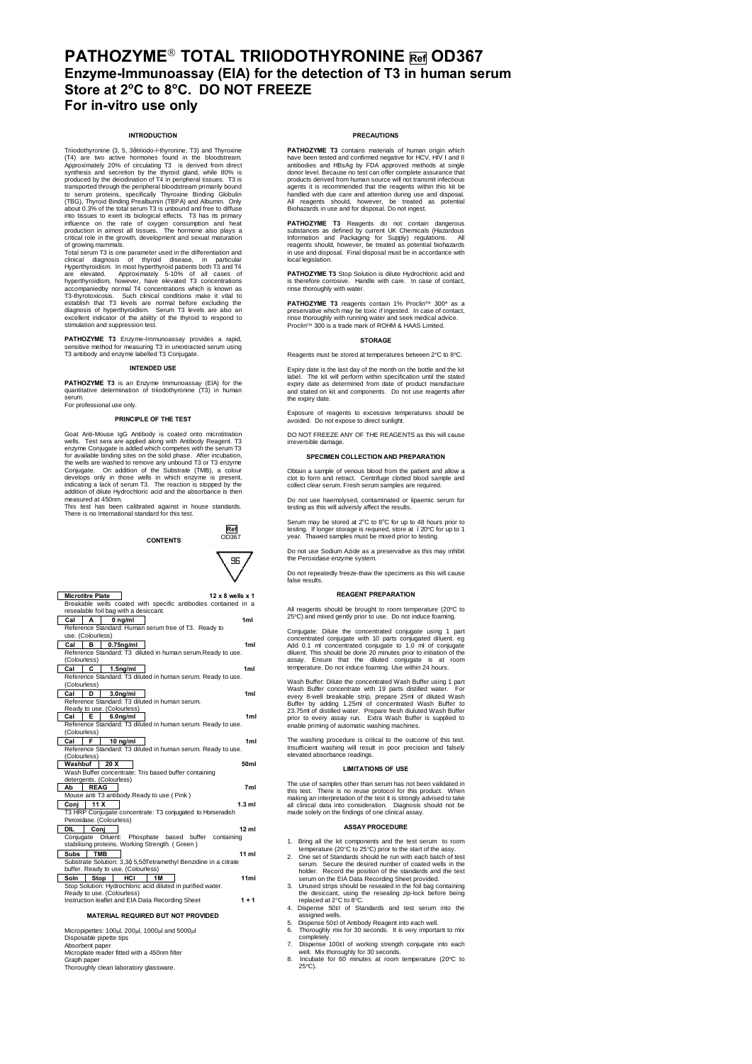# **PATHOZYME**" **TOTAL TRIIODOTHYRONINE Ref OD367 Enzyme-Immunoassay (EIA) for the detection of T3 in human serum Store at 2<sup>o</sup> C to 8<sup>o</sup> C. DO NOT FREEZE For in-vitro use only**

# **INTRODUCTION**

Triadothyronine (3, 5, 3qtiniodo-1-hyronine, T3) and Thyroxine (4, 7, 3 middo-1-hyronine, T3) and Thyroximately 20% of circulating T3 is derived from direct Approximetely 20% of circulating T3 is derived from direct produc

clinical diagnosis of thyroid disease, in particular Hyperthyroidism. In most hyperthyroid patients both T3 and T4 are elevated. Approximately 5-10% of all cases of hyperthyroidism, however, have elevated T3 concentrations accompaniedby normal T4 concentrations which is known as T3-thyrotoxicosis. Such clinical conditions make it vital to establish that T3 levels are normal before excluding the diagnosis of hyperthyroidism. Serum T3 levels are also an excellent indicator of the ability of the thyroid to respond to stimulation and suppression test.

**PATHOZYME T3** Enzyme-Immunoassay provides a rapid, sensitive method for measuring T3 in unextracted serum using T3 antibody and enzyme labelled T3 Conjugate.

# **INTENDED USE**

**PATHOZYME T3** is an Enzyme Immunoassay (EIA) for the quantitative determination of triiodothyronine (T3) in human serum. For professional use only.

**PRINCIPLE OF THE TEST**

Goat Anti-Mouse IgG Antibody is coated onto microtitration<br>wells. Test sera are applied along with Antibody Reagent. T3<br>enzyme Conjugate is added which competes with the serum T3<br>for available binding sites on the solid ph the wells are washed to remove any unbound T3 or T3 enzyme<br>Conjugate. On addition of the Substrate (TMB), a colour<br>develops only in those wells in which enzyme is present,<br>indicating a lack of serum T3. The reaction is sto

This test has been calibrated against in house standards. There is no International standard for this test.



| <b>Microtitre Plate</b><br>12 x 8 wells x 1                                                             |  |  |
|---------------------------------------------------------------------------------------------------------|--|--|
| Breakable wells coated with specific antibodies contained in a                                          |  |  |
| resealable foil bag with a desiccant.                                                                   |  |  |
| Cal<br>$0$ ng/ml<br>А<br>1 <sub>ml</sub>                                                                |  |  |
| Reference Standard: Human serum free of T3. Ready to                                                    |  |  |
| use. (Colourless)                                                                                       |  |  |
| Cal<br>в<br>$0.75$ ng/ml<br>1 <sub>ml</sub>                                                             |  |  |
| Reference Standard: T3 diluted in human serum.Ready to use.                                             |  |  |
| (Colourless)                                                                                            |  |  |
| Cal<br>C<br>1.5 <sub>ng</sub> /ml<br>1ml                                                                |  |  |
| Reference Standard: T3 diluted in human serum. Ready to use.                                            |  |  |
| (Colourless)                                                                                            |  |  |
| Cal<br>D<br>3.0 <sub>ng</sub> /ml<br>1 <sub>ml</sub>                                                    |  |  |
| Reference Standard: T3 diluted in human serum.                                                          |  |  |
| Ready to use. (Colourless)<br>E<br>Cal<br>6.0 <sub>ng</sub> /ml<br>1 <sub>m</sub>                       |  |  |
| Reference Standard: T3 diluted in human serum. Ready to use.                                            |  |  |
| (Colourless)                                                                                            |  |  |
| F.<br>$10$ ng/ml<br>1 <sub>m</sub><br>Cal                                                               |  |  |
| Reference Standard: T3 diluted in human serum. Ready to use.                                            |  |  |
| (Colourless)                                                                                            |  |  |
| Washbuf 20 X<br>50ml                                                                                    |  |  |
| Wash Buffer concentrate: Tris based buffer containing                                                   |  |  |
| detergents. (Colourless)                                                                                |  |  |
| 7ml<br><b>REAG</b><br>Ab                                                                                |  |  |
| Mouse anti T3 antibody.Ready to use ( Pink )                                                            |  |  |
| 11 X<br>$1.3$ ml<br>Coni                                                                                |  |  |
| T3 HRP Conjugate concentrate: T3 conjugated to Horseradish                                              |  |  |
| Peroxidase, (Colourless)                                                                                |  |  |
| DIL<br>12 <sub>ml</sub><br>Coni                                                                         |  |  |
| Diluent: Phosphate based buffer containing<br>Conjugate                                                 |  |  |
| stabilising proteins. Working Strength. (Green)                                                         |  |  |
| <b>TMB</b><br>$11$ ml<br>Subs                                                                           |  |  |
| Substrate Solution: 3,3q 5,5qTetramethyl Benzidine in a citrate<br>buffer. Ready to use. (Colourless)   |  |  |
|                                                                                                         |  |  |
| HCI<br>11ml<br>Stop<br><b>1M</b><br>Soln<br>Stop Solution: Hydrochloric acid diluted in purified water. |  |  |
| Ready to use. (Colourless)                                                                              |  |  |
| Instruction leaflet and EIA Data Recording Sheet<br>$1 + 1$                                             |  |  |
|                                                                                                         |  |  |
| <b>MATERIAL REQUIRED BUT NOT PROVIDED</b>                                                               |  |  |
|                                                                                                         |  |  |
| Micropipettes: 100ul, 200ul, 1000ul and 5000ul                                                          |  |  |
| Disposable pipette tips                                                                                 |  |  |

Disposable pipette tips Absorbent paper Microplate reader fitted with a 450nm filter

- Graph paper Thoroughly clean laboratory glassware.
- 

# **PRECAUTIONS**

**PATHOZYME T3** contains materials of human origin which have been tested and confirmed negative for HCV, HIV I and II antibodies and HBsAg by FDA approved methods at single donor level. Because no test can offer complete assurance that products derived from human source will not transmit infectious<br>agents it is recommended that the reagents within this kit be<br>handled with due care and attention during use and disposal.<br>All reagents should, however, be tr

**PATHOZYME T3** Reagents do not contain dangerous<br>substances as defined by current UK Chemicals (Hazardous<br>Information and Packaging for Supply) regulations. All<br>reagents should, however, be treated as potential biohazards<br> local legislation

**PATHOZYME T3** Stop Solution is dilute Hydrochloric acid and is therefore corrosive. Handle with care. In case of contact, rinse thoroughly with water.

**PATHOZYME T3** reagents contain 1% Proclin™ 300<sup>\*</sup> as a preservative which may be toxic if ingested. In case of contact,<br>rinse thoroughly with running water and seek medical advice.<br>Proclin™ 300 is a trade mark of ROHM & HAAS Limited.

# **STORAGE**

Reagents must be stored at temperatures between 2°C to 8°C.

Expiry date is the last day of the month on the bottle and the kit label. The kit will perform within specification until the stated expiry date as determined from date of product manufacture and stated on kit and components. Do not use reagents after the expiry date.

Exposure of reagents to excessive temperatures should be avoided. Do not expose to direct sunlight.

DO NOT FREEZE ANY OF THE REAGENTS as this will cause irreversible damage.

# **SPECIMEN COLLECTION AND PREPARATION**

Obtain a sample of venous blood from the patient and allow a clot to form and retract. Centrifuge clotted blood sample and collect clear serum. Fresh serum samples are required.

Do not use haemolysed, contaminated or lipaemic serum for testing as this will adversly affect the results.

Serum may be stored at 2°C to 8°C for up to 48 hours prior to testing. If longer storage is required, store at . 20°C for up to 1<br>year. Thawed samples must be mixed prior to testing.

Do not use Sodium Azide as a preservative as this may inhibit

the Peroxidase enzyme system.

Do not repeatedly freeze-thaw the specimens as this will cause false results.

#### **REAGENT PREPARATION**

All reagents should be brought to room temperature (20°C to 25°C) and mixed gently prior to use. Do not induce foaming.

Conjugate: Dilute the concentrated conjugate using 1 part<br>concentrated conjugate with 10 parts conjugate diluent. Teg<br>Add 0.1 ml concentrated conjugate to 1.0 ml of conjugate<br>diluent. This should be done 20 minutes prior t

Wash Buffer: Dilute the concentrated Wash Buffer using 1 part<br>Wash Buffer concentrate with 19 parts distilled water. For Wash Buffer concentrate with 19 parts distilled water. For<br>every 8-well breakable strip, prepare 25ml of diluted Wash<br>Buffer by adding 1.25ml of concentrated Wash Buffer to<br>23.75ml of distilled water. Prepare fresh diulute

The washing procedure is critical to the outcome of this test. Insufficient washing will result in poor precision and falsely elevated absorbance readings.

### **LIMITATIONS OF USE**

The use of samples other than serum has not been validated in<br>this test. There is no reuse protocol for this product. When<br>making an interpretation of the test it is strongly advised to take<br>all clinical data into consider

# **ASSAY PROCEDURE**

- 
- 
- 1. Bring all the kit components and the test serum to room<br>2. Cone set of Scrapca (20°C to 25°C) prior to the start of the association. Secure the desired number of coated wells in the belief of the belief of the belief o
- 
- 
- assigned wells. 5. Dispense 50 l of Antibody Reagent into each well. 6. Thoroughly mix for 30 seconds. It is very important to mix
- 
- completely.<br>
7. Dispense 100 l of working strength conjugate into each<br>
well. Mix thoroughly for 30 seconds.<br>
8. Incubate for 60 minutes at room temperature (20°C to<br>
25°C).